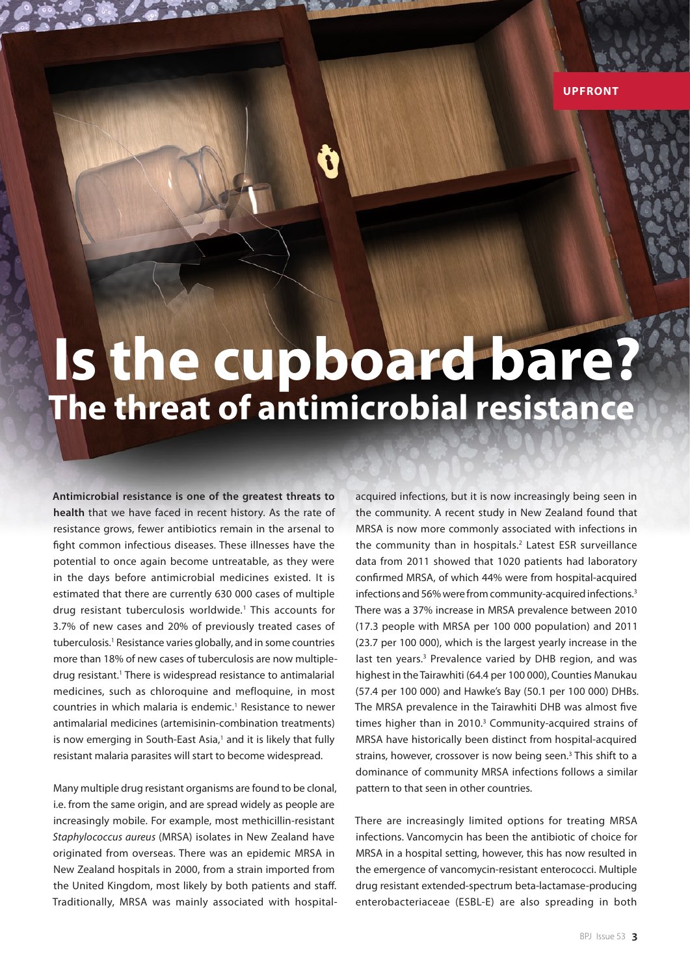## **Is the cupboard bare? The threat of antimicrobial resistance**

**Antimicrobial resistance is one of the greatest threats to health** that we have faced in recent history. As the rate of resistance grows, fewer antibiotics remain in the arsenal to fight common infectious diseases. These illnesses have the potential to once again become untreatable, as they were in the days before antimicrobial medicines existed. It is estimated that there are currently 630 000 cases of multiple drug resistant tuberculosis worldwide.1 This accounts for 3.7% of new cases and 20% of previously treated cases of tuberculosis.<sup>1</sup> Resistance varies globally, and in some countries more than 18% of new cases of tuberculosis are now multipledrug resistant.<sup>1</sup> There is widespread resistance to antimalarial medicines, such as chloroquine and mefloquine, in most countries in which malaria is endemic.<sup>1</sup> Resistance to newer antimalarial medicines (artemisinin-combination treatments) is now emerging in South-East Asia,<sup>1</sup> and it is likely that fully resistant malaria parasites will start to become widespread.

Many multiple drug resistant organisms are found to be clonal, i.e. from the same origin, and are spread widely as people are increasingly mobile. For example, most methicillin-resistant *Staphylococcus aureus* (MRSA) isolates in New Zealand have originated from overseas. There was an epidemic MRSA in New Zealand hospitals in 2000, from a strain imported from the United Kingdom, most likely by both patients and staff. Traditionally, MRSA was mainly associated with hospital-

acquired infections, but it is now increasingly being seen in the community. A recent study in New Zealand found that MRSA is now more commonly associated with infections in the community than in hospitals.<sup>2</sup> Latest ESR surveillance data from 2011 showed that 1020 patients had laboratory confirmed MRSA, of which 44% were from hospital-acquired infections and 56% were from community-acquired infections.<sup>3</sup> There was a 37% increase in MRSA prevalence between 2010 (17.3 people with MRSA per 100 000 population) and 2011 (23.7 per 100 000), which is the largest yearly increase in the last ten years.<sup>3</sup> Prevalence varied by DHB region, and was highest in the Tairawhiti (64.4 per 100 000), Counties Manukau (57.4 per 100 000) and Hawke's Bay (50.1 per 100 000) DHBs. The MRSA prevalence in the Tairawhiti DHB was almost five times higher than in 2010.<sup>3</sup> Community-acquired strains of MRSA have historically been distinct from hospital-acquired strains, however, crossover is now being seen.<sup>3</sup> This shift to a dominance of community MRSA infections follows a similar pattern to that seen in other countries.

There are increasingly limited options for treating MRSA infections. Vancomycin has been the antibiotic of choice for MRSA in a hospital setting, however, this has now resulted in the emergence of vancomycin-resistant enterococci. Multiple drug resistant extended-spectrum beta-lactamase-producing enterobacteriaceae (ESBL-E) are also spreading in both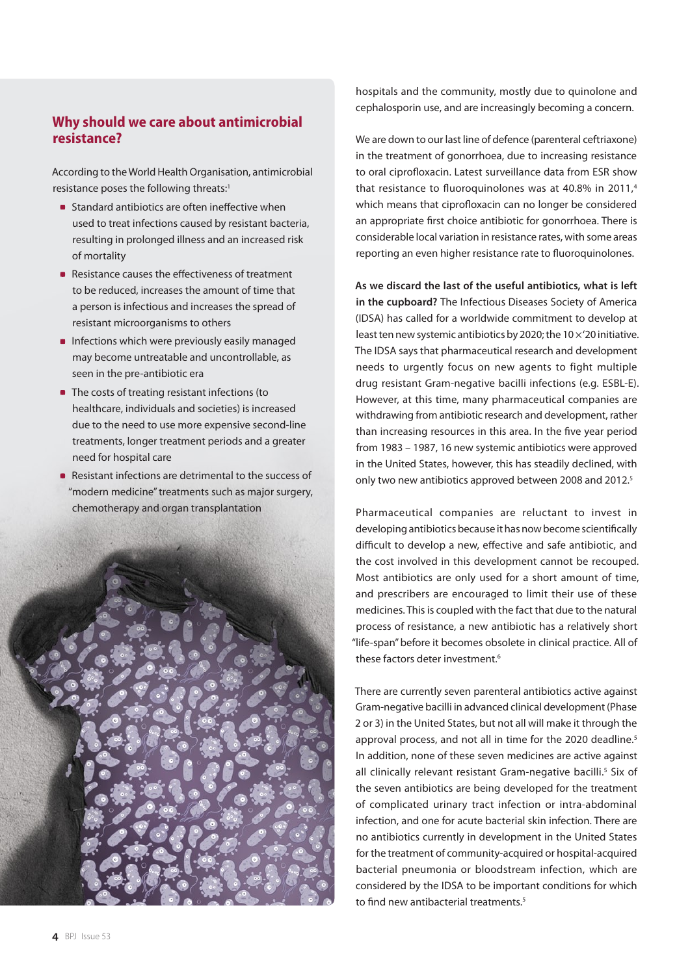## **Why should we care about antimicrobial resistance?**

According to the World Health Organisation, antimicrobial resistance poses the following threats:<sup>1</sup>

- **Standard antibiotics are often ineffective when** used to treat infections caused by resistant bacteria, resulting in prolonged illness and an increased risk of mortality
- Resistance causes the effectiveness of treatment to be reduced, increases the amount of time that a person is infectious and increases the spread of resistant microorganisms to others
- **Infections which were previously easily managed** may become untreatable and uncontrollable, as seen in the pre-antibiotic era
- The costs of treating resistant infections (to healthcare, individuals and societies) is increased due to the need to use more expensive second-line treatments, longer treatment periods and a greater need for hospital care
- Resistant infections are detrimental to the success of "modern medicine" treatments such as major surgery, chemotherapy and organ transplantation



hospitals and the community, mostly due to quinolone and cephalosporin use, and are increasingly becoming a concern.

We are down to our last line of defence (parenteral ceftriaxone) in the treatment of gonorrhoea, due to increasing resistance to oral ciprofloxacin. Latest surveillance data from ESR show that resistance to fluoroquinolones was at  $40.8\%$  in 2011.<sup>4</sup> which means that ciprofloxacin can no longer be considered an appropriate first choice antibiotic for gonorrhoea. There is considerable local variation in resistance rates, with some areas reporting an even higher resistance rate to fluoroquinolones.

**As we discard the last of the useful antibiotics, what is left in the cupboard?** The Infectious Diseases Society of America (IDSA) has called for a worldwide commitment to develop at least ten new systemic antibiotics by 2020; the  $10 \times 20$  initiative. The IDSA says that pharmaceutical research and development needs to urgently focus on new agents to fight multiple drug resistant Gram-negative bacilli infections (e.g. ESBL-E). However, at this time, many pharmaceutical companies are withdrawing from antibiotic research and development, rather than increasing resources in this area. In the five year period from 1983 – 1987, 16 new systemic antibiotics were approved in the United States, however, this has steadily declined, with only two new antibiotics approved between 2008 and 2012.5

Pharmaceutical companies are reluctant to invest in developing antibiotics because it has now become scientifically difficult to develop a new, effective and safe antibiotic, and the cost involved in this development cannot be recouped. Most antibiotics are only used for a short amount of time, and prescribers are encouraged to limit their use of these medicines. This is coupled with the fact that due to the natural process of resistance, a new antibiotic has a relatively short "life-span" before it becomes obsolete in clinical practice. All of these factors deter investment.<sup>6</sup>

There are currently seven parenteral antibiotics active against Gram-negative bacilli in advanced clinical development (Phase 2 or 3) in the United States, but not all will make it through the approval process, and not all in time for the 2020 deadline.<sup>5</sup> In addition, none of these seven medicines are active against all clinically relevant resistant Gram-negative bacilli.<sup>5</sup> Six of the seven antibiotics are being developed for the treatment of complicated urinary tract infection or intra-abdominal infection, and one for acute bacterial skin infection. There are no antibiotics currently in development in the United States for the treatment of community-acquired or hospital-acquired bacterial pneumonia or bloodstream infection, which are considered by the IDSA to be important conditions for which to find new antibacterial treatments<sup>5</sup>